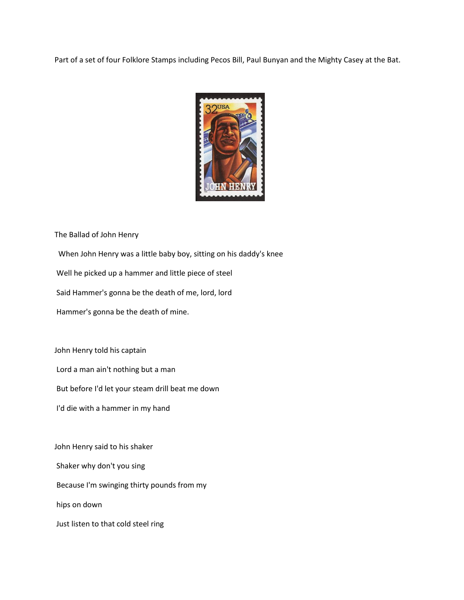Part of a set of four Folklore Stamps including Pecos Bill, Paul Bunyan and the Mighty Casey at the Bat.



The Ballad of John Henry

When John Henry was a little baby boy, sitting on his daddy's knee

Well he picked up a hammer and little piece of steel

Said Hammer's gonna be the death of me, lord, lord

Hammer's gonna be the death of mine.

John Henry told his captain

Lord a man ain't nothing but a man

But before I'd let your steam drill beat me down

I'd die with a hammer in my hand

John Henry said to his shaker Shaker why don't you sing Because I'm swinging thirty pounds from my hips on down Just listen to that cold steel ring